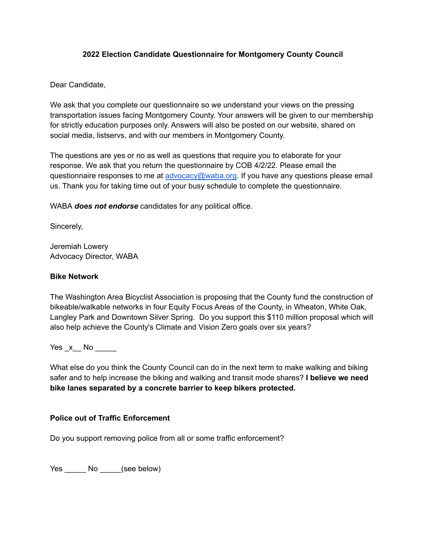### **2022 Election Candidate Questionnaire for Montgomery County Council**

Dear Candidate,

We ask that you complete our questionnaire so we understand your views on the pressing transportation issues facing Montgomery County. Your answers will be given to our membership for strictly education purposes only. Answers will also be posted on our website, shared on social media, listservs, and with our members in Montgomery County.

The questions are yes or no as well as questions that require you to elaborate for your response. We ask that you return the questionnaire by COB 4/2/22. Please email the questionnaire responses to me at advocacy@waba.org. If you have any questions please email us. Thank you for taking time out of your busy schedule to complete the questionnaire.

WABA *does not endorse* candidates for any political office.

Sincerely,

Jeremiah Lowery Advocacy Director, WABA

## **Bike Network**

The Washington Area Bicyclist Association is proposing that the County fund the construction of bikeable/walkable networks in four Equity Focus Areas of the County, in Wheaton, White Oak, Langley Park and Downtown Silver Spring. Do you support this \$110 million proposal which will also help achieve the County's Climate and Vision Zero goals over six years?

 $Yes x No$ 

What else do you think the County Council can do in the next term to make walking and biking safer and to help increase the biking and walking and transit mode shares? **I believe we need bike lanes separated by a concrete barrier to keep bikers protected.**

# **Police out of Traffic Enforcement**

Do you support removing police from all or some traffic enforcement?

Yes No (see below)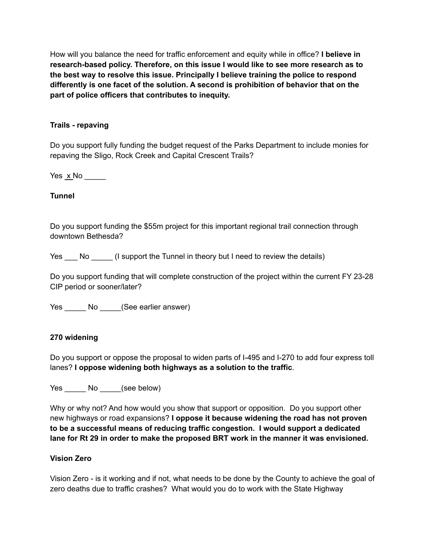How will you balance the need for traffic enforcement and equity while in office? **I believe in research-based policy. Therefore, on this issue I would like to see more research as to the best way to resolve this issue. Principally I believe training the police to respond differently is one facet of the solution. A second is prohibition of behavior that on the part of police officers that contributes to inequity.**

## **Trails - repaving**

Do you support fully funding the budget request of the Parks Department to include monies for repaving the Sligo, Rock Creek and Capital Crescent Trails?

Yes  $x$ <sub>No</sub> \_\_\_\_\_\_

### **Tunnel**

Do you support funding the \$55m project for this important regional trail connection through downtown Bethesda?

Yes \_\_\_ No \_\_\_\_\_\_ (I support the Tunnel in theory but I need to review the details)

Do you support funding that will complete construction of the project within the current FY 23-28 CIP period or sooner/later?

Yes \_\_\_\_\_\_ No \_\_\_\_\_(See earlier answer)

#### **270 widening**

Do you support or oppose the proposal to widen parts of I-495 and I-270 to add four express toll lanes? **I oppose widening both highways as a solution to the traffic**.

Yes No (see below)

Why or why not? And how would you show that support or opposition. Do you support other new highways or road expansions? **I oppose it because widening the road has not proven to be a successful means of reducing traffic congestion. I would support a dedicated lane for Rt 29 in order to make the proposed BRT work in the manner it was envisioned.**

### **Vision Zero**

Vision Zero - is it working and if not, what needs to be done by the County to achieve the goal of zero deaths due to traffic crashes? What would you do to work with the State Highway